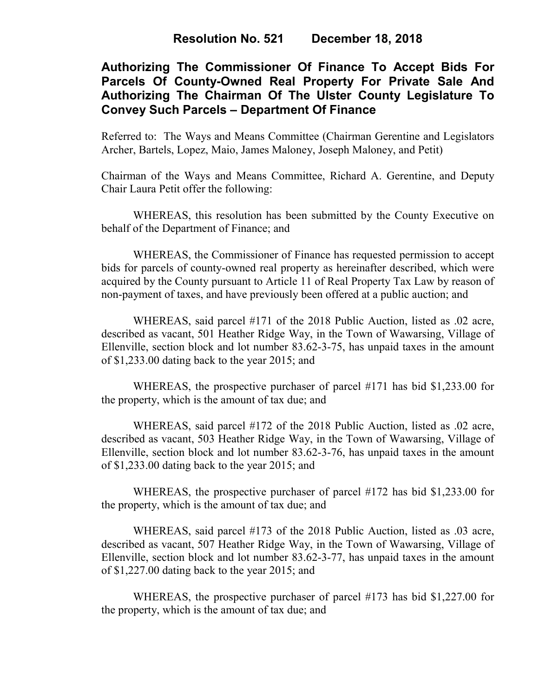# **Authorizing The Commissioner Of Finance To Accept Bids For Parcels Of County-Owned Real Property For Private Sale And Authorizing The Chairman Of The Ulster County Legislature To Convey Such Parcels – Department Of Finance**

Referred to: The Ways and Means Committee (Chairman Gerentine and Legislators Archer, Bartels, Lopez, Maio, James Maloney, Joseph Maloney, and Petit)

Chairman of the Ways and Means Committee, Richard A. Gerentine, and Deputy Chair Laura Petit offer the following:

WHEREAS, this resolution has been submitted by the County Executive on behalf of the Department of Finance; and

WHEREAS, the Commissioner of Finance has requested permission to accept bids for parcels of county-owned real property as hereinafter described, which were acquired by the County pursuant to Article 11 of Real Property Tax Law by reason of non-payment of taxes, and have previously been offered at a public auction; and

WHEREAS, said parcel #171 of the 2018 Public Auction, listed as .02 acre, described as vacant, 501 Heather Ridge Way, in the Town of Wawarsing, Village of Ellenville, section block and lot number 83.62-3-75, has unpaid taxes in the amount of \$1,233.00 dating back to the year 2015; and

WHEREAS, the prospective purchaser of parcel #171 has bid \$1,233.00 for the property, which is the amount of tax due; and

WHEREAS, said parcel #172 of the 2018 Public Auction, listed as .02 acre, described as vacant, 503 Heather Ridge Way, in the Town of Wawarsing, Village of Ellenville, section block and lot number 83.62-3-76, has unpaid taxes in the amount of \$1,233.00 dating back to the year 2015; and

WHEREAS, the prospective purchaser of parcel #172 has bid \$1,233.00 for the property, which is the amount of tax due; and

WHEREAS, said parcel #173 of the 2018 Public Auction, listed as .03 acre, described as vacant, 507 Heather Ridge Way, in the Town of Wawarsing, Village of Ellenville, section block and lot number 83.62-3-77, has unpaid taxes in the amount of \$1,227.00 dating back to the year 2015; and

WHEREAS, the prospective purchaser of parcel #173 has bid \$1,227.00 for the property, which is the amount of tax due; and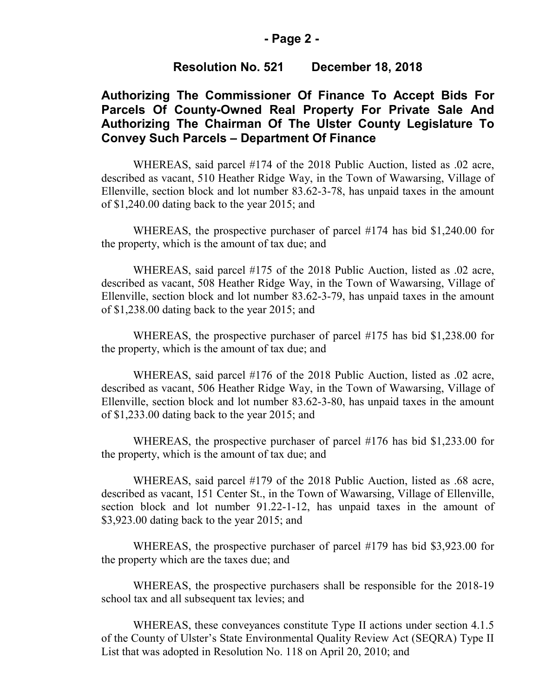#### **- Page 2 -**

## **Resolution No. 521 December 18, 2018**

# **Authorizing The Commissioner Of Finance To Accept Bids For Parcels Of County-Owned Real Property For Private Sale And Authorizing The Chairman Of The Ulster County Legislature To Convey Such Parcels – Department Of Finance**

WHEREAS, said parcel #174 of the 2018 Public Auction, listed as .02 acre, described as vacant, 510 Heather Ridge Way, in the Town of Wawarsing, Village of Ellenville, section block and lot number 83.62-3-78, has unpaid taxes in the amount of \$1,240.00 dating back to the year 2015; and

WHEREAS, the prospective purchaser of parcel #174 has bid \$1,240.00 for the property, which is the amount of tax due; and

WHEREAS, said parcel #175 of the 2018 Public Auction, listed as .02 acre, described as vacant, 508 Heather Ridge Way, in the Town of Wawarsing, Village of Ellenville, section block and lot number 83.62-3-79, has unpaid taxes in the amount of \$1,238.00 dating back to the year 2015; and

WHEREAS, the prospective purchaser of parcel #175 has bid \$1,238.00 for the property, which is the amount of tax due; and

WHEREAS, said parcel #176 of the 2018 Public Auction, listed as .02 acre, described as vacant, 506 Heather Ridge Way, in the Town of Wawarsing, Village of Ellenville, section block and lot number 83.62-3-80, has unpaid taxes in the amount of \$1,233.00 dating back to the year 2015; and

WHEREAS, the prospective purchaser of parcel #176 has bid \$1,233.00 for the property, which is the amount of tax due; and

WHEREAS, said parcel #179 of the 2018 Public Auction, listed as .68 acre, described as vacant, 151 Center St., in the Town of Wawarsing, Village of Ellenville, section block and lot number 91.22-1-12, has unpaid taxes in the amount of \$3,923.00 dating back to the year 2015; and

WHEREAS, the prospective purchaser of parcel #179 has bid \$3,923.00 for the property which are the taxes due; and

WHEREAS, the prospective purchasers shall be responsible for the 2018-19 school tax and all subsequent tax levies; and

WHEREAS, these conveyances constitute Type II actions under section 4.1.5 of the County of Ulster's State Environmental Quality Review Act (SEQRA) Type II List that was adopted in Resolution No. 118 on April 20, 2010; and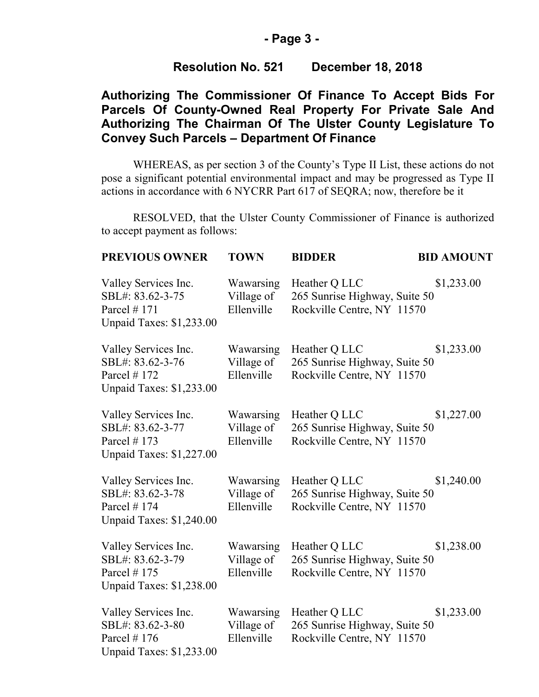## **- Page 3 -**

# **Resolution No. 521 December 18, 2018**

# **Authorizing The Commissioner Of Finance To Accept Bids For Parcels Of County-Owned Real Property For Private Sale And Authorizing The Chairman Of The Ulster County Legislature To Convey Such Parcels – Department Of Finance**

WHEREAS, as per section 3 of the County's Type II List, these actions do not pose a significant potential environmental impact and may be progressed as Type II actions in accordance with 6 NYCRR Part 617 of SEQRA; now, therefore be it

RESOLVED, that the Ulster County Commissioner of Finance is authorized to accept payment as follows:

| <b>PREVIOUS OWNER</b>                                                                         | <b>TOWN</b>                           | <b>BIDDER</b>                                                                | <b>BID AMOUNT</b> |
|-----------------------------------------------------------------------------------------------|---------------------------------------|------------------------------------------------------------------------------|-------------------|
| Valley Services Inc.<br>SBL#: 83.62-3-75<br>Parcel $# 171$<br>Unpaid Taxes: \$1,233.00        | Wawarsing<br>Village of<br>Ellenville | Heather Q LLC<br>265 Sunrise Highway, Suite 50<br>Rockville Centre, NY 11570 | \$1,233.00        |
| Valley Services Inc.<br>SBL#: 83.62-3-76<br>Parcel #172<br>Unpaid Taxes: \$1,233.00           | Wawarsing<br>Village of<br>Ellenville | Heather Q LLC<br>265 Sunrise Highway, Suite 50<br>Rockville Centre, NY 11570 | \$1,233.00        |
| Valley Services Inc.<br>SBL#: 83.62-3-77<br>Parcel $# 173$<br><b>Unpaid Taxes: \$1,227.00</b> | Wawarsing<br>Village of<br>Ellenville | Heather Q LLC<br>265 Sunrise Highway, Suite 50<br>Rockville Centre, NY 11570 | \$1,227.00        |
| Valley Services Inc.<br>SBL#: 83.62-3-78<br>Parcel $# 174$<br>Unpaid Taxes: \$1,240.00        | Wawarsing<br>Village of<br>Ellenville | Heather Q LLC<br>265 Sunrise Highway, Suite 50<br>Rockville Centre, NY 11570 | \$1,240.00        |
| Valley Services Inc.<br>SBL#: 83.62-3-79<br>Parcel #175<br>Unpaid Taxes: \$1,238.00           | Wawarsing<br>Village of<br>Ellenville | Heather Q LLC<br>265 Sunrise Highway, Suite 50<br>Rockville Centre, NY 11570 | \$1,238.00        |
| Valley Services Inc.<br>SBL#: 83.62-3-80<br>Parcel $# 176$<br>Unpaid Taxes: \$1,233.00        | Wawarsing<br>Village of<br>Ellenville | Heather Q LLC<br>265 Sunrise Highway, Suite 50<br>Rockville Centre, NY 11570 | \$1,233.00        |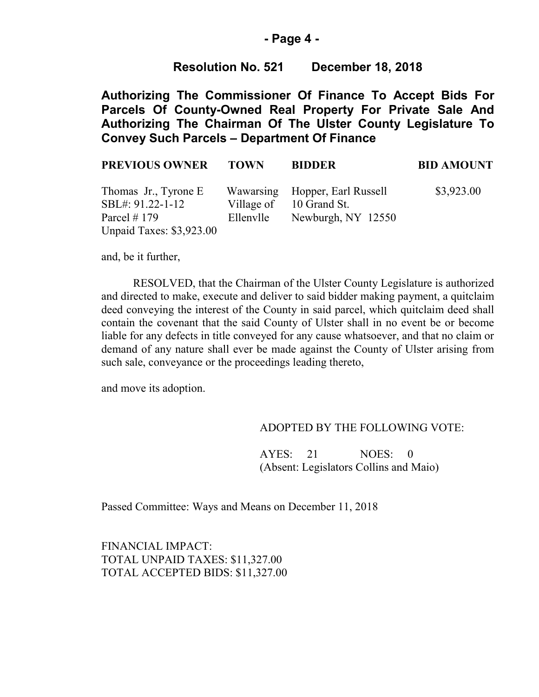### **- Page 4 -**

## **Resolution No. 521 December 18, 2018**

**Authorizing The Commissioner Of Finance To Accept Bids For Parcels Of County-Owned Real Property For Private Sale And Authorizing The Chairman Of The Ulster County Legislature To Convey Such Parcels – Department Of Finance**

| <b>PREVIOUS OWNER</b>                    | <b>TOWN</b> | <b>BIDDER</b>                                             | <b>BID AMOUNT</b> |
|------------------------------------------|-------------|-----------------------------------------------------------|-------------------|
| Thomas Jr., Tyrone E<br>SBL#: 91.22-1-12 |             | Wawarsing Hopper, Earl Russell<br>Village of 10 Grand St. | \$3,923.00        |
| Parcel # 179                             |             | Ellenvile Newburgh, NY 12550                              |                   |
| <b>Unpaid Taxes: \$3,923.00</b>          |             |                                                           |                   |

and, be it further,

RESOLVED, that the Chairman of the Ulster County Legislature is authorized and directed to make, execute and deliver to said bidder making payment, a quitclaim deed conveying the interest of the County in said parcel, which quitclaim deed shall contain the covenant that the said County of Ulster shall in no event be or become liable for any defects in title conveyed for any cause whatsoever, and that no claim or demand of any nature shall ever be made against the County of Ulster arising from such sale, conveyance or the proceedings leading thereto,

and move its adoption.

### ADOPTED BY THE FOLLOWING VOTE:

AYES: 21 NOES: 0 (Absent: Legislators Collins and Maio)

Passed Committee: Ways and Means on December 11, 2018

FINANCIAL IMPACT: TOTAL UNPAID TAXES: \$11,327.00 TOTAL ACCEPTED BIDS: \$11,327.00